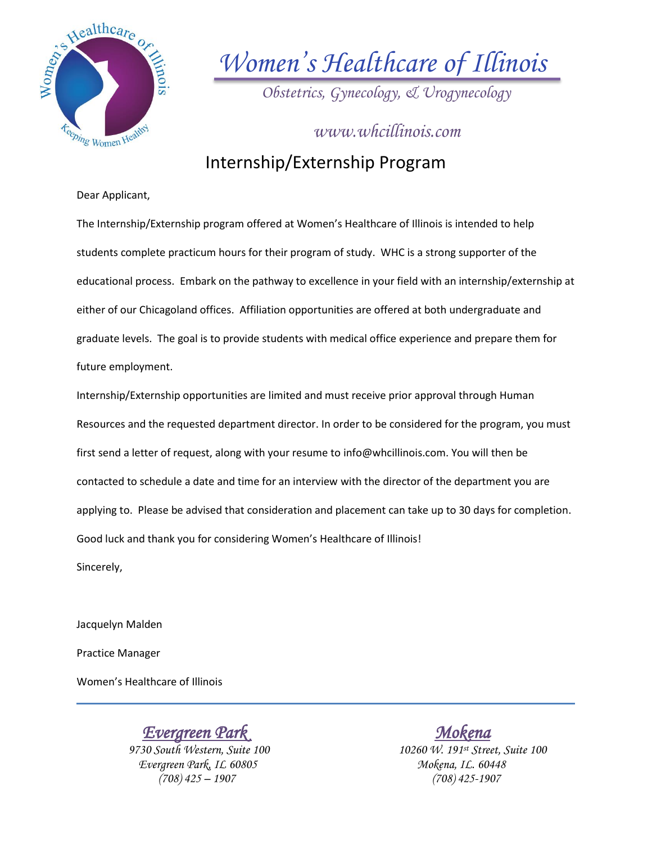

*Women's Healthcare of Illinois*

*Obstetrics, Gynecology, & Urogynecology*

Internship/Externship Program *www.whcillinois.com*

## Dear Applicant,

The Internship/Externship program offered at Women's Healthcare of Illinois is intended to help students complete practicum hours for their program of study. WHC is a strong supporter of the educational process. Embark on the pathway to excellence in your field with an internship/externship at either of our Chicagoland offices. Affiliation opportunities are offered at both undergraduate and graduate levels. The goal is to provide students with medical office experience and prepare them for future employment.

Internship/Externship opportunities are limited and must receive prior approval through Human Resources and the requested department director. In order to be considered for the program, you must first send a letter of request, along with your resume to info@whcillinois.com. You will then be contacted to schedule a date and time for an interview with the director of the department you are applying to. Please be advised that consideration and placement can take up to 30 days for completion. Good luck and thank you for considering Women's Healthcare of Illinois! Sincerely,

Jacquelyn Malden

Practice Manager

Women's Healthcare of Illinois

*<u>Evergreen Park</u>* Evergreen Park, IL. 60805

 *9730 South Western, Suite 100 10260 W. 191st Street, Suite 100 (708) 425 – 1907 (708) 425-1907*